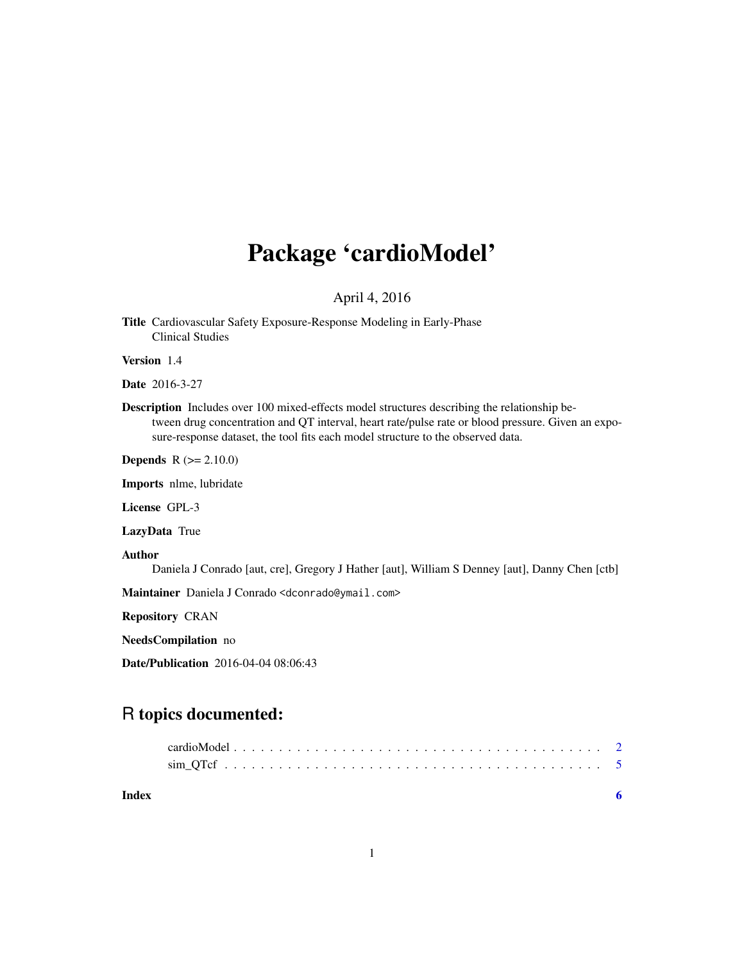# Package 'cardioModel'

# April 4, 2016

Title Cardiovascular Safety Exposure-Response Modeling in Early-Phase Clinical Studies

Version 1.4

Date 2016-3-27

Description Includes over 100 mixed-effects model structures describing the relationship between drug concentration and QT interval, heart rate/pulse rate or blood pressure. Given an exposure-response dataset, the tool fits each model structure to the observed data.

Depends R (>= 2.10.0)

Imports nlme, lubridate

License GPL-3

LazyData True

Author

Daniela J Conrado [aut, cre], Gregory J Hather [aut], William S Denney [aut], Danny Chen [ctb]

Maintainer Daniela J Conrado <dconrado@ymail.com>

Repository CRAN

NeedsCompilation no

Date/Publication 2016-04-04 08:06:43

# R topics documented:

| Index |  |  |  |  |  |  |  |  |  |  |  |  |  |  |  |  |  |
|-------|--|--|--|--|--|--|--|--|--|--|--|--|--|--|--|--|--|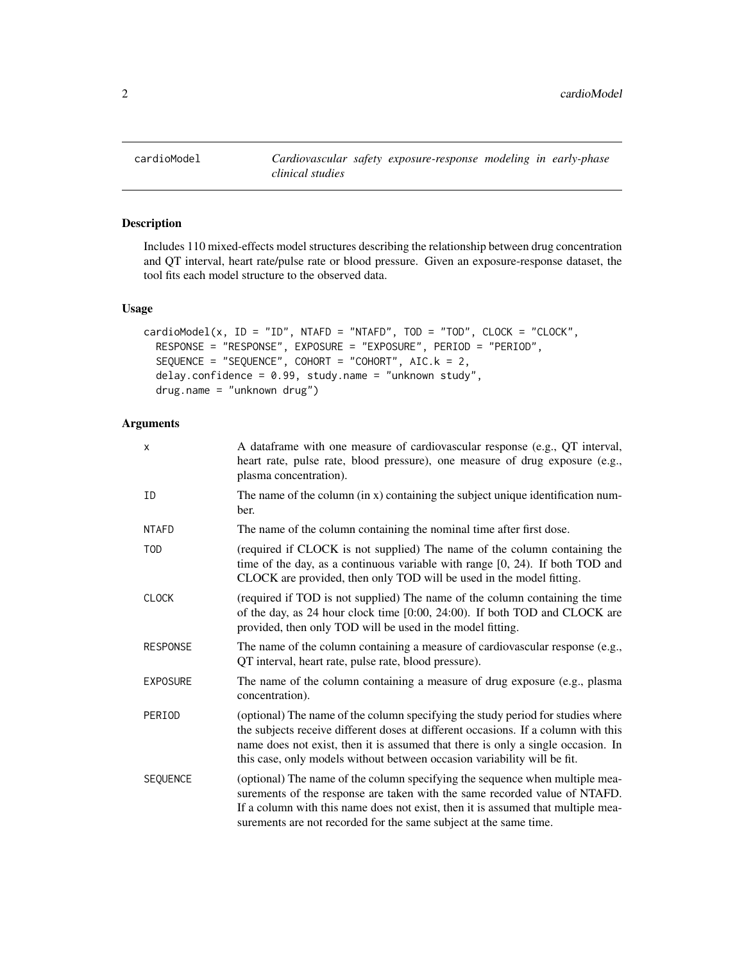<span id="page-1-0"></span>

## Description

Includes 110 mixed-effects model structures describing the relationship between drug concentration and QT interval, heart rate/pulse rate or blood pressure. Given an exposure-response dataset, the tool fits each model structure to the observed data.

#### Usage

```
cardiomodel(x, ID = "ID", NTAFD = "NTAFD", TOD = "TOP", CLOCK = "CLOCK",RESPONSE = "RESPONSE", EXPOSURE = "EXPOSURE", PERIOD = "PERIOD",
  SEQUENCE = "SEQUENCE", COHORT = "COHORT", AIC.k = 2,
  delay.confidence = 0.99, study.name = "unknown study",
  drug.name = "unknown drug")
```
## Arguments

| X               | A dataframe with one measure of cardiovascular response (e.g., QT interval,<br>heart rate, pulse rate, blood pressure), one measure of drug exposure (e.g.,<br>plasma concentration).                                                                                                                                                 |
|-----------------|---------------------------------------------------------------------------------------------------------------------------------------------------------------------------------------------------------------------------------------------------------------------------------------------------------------------------------------|
| ID              | The name of the column (in x) containing the subject unique identification num-<br>ber.                                                                                                                                                                                                                                               |
| NTAFD           | The name of the column containing the nominal time after first dose.                                                                                                                                                                                                                                                                  |
| TOD             | (required if CLOCK is not supplied) The name of the column containing the<br>time of the day, as a continuous variable with range $[0, 24)$ . If both TOD and<br>CLOCK are provided, then only TOD will be used in the model fitting.                                                                                                 |
| CLOCK           | (required if TOD is not supplied) The name of the column containing the time<br>of the day, as 24 hour clock time [0:00, 24:00). If both TOD and CLOCK are<br>provided, then only TOD will be used in the model fitting.                                                                                                              |
| <b>RESPONSE</b> | The name of the column containing a measure of cardiovascular response (e.g.,<br>QT interval, heart rate, pulse rate, blood pressure).                                                                                                                                                                                                |
| EXPOSURE        | The name of the column containing a measure of drug exposure (e.g., plasma<br>concentration).                                                                                                                                                                                                                                         |
| PERIOD          | (optional) The name of the column specifying the study period for studies where<br>the subjects receive different doses at different occasions. If a column with this<br>name does not exist, then it is assumed that there is only a single occasion. In<br>this case, only models without between occasion variability will be fit. |
| <b>SEQUENCE</b> | (optional) The name of the column specifying the sequence when multiple mea-<br>surements of the response are taken with the same recorded value of NTAFD.<br>If a column with this name does not exist, then it is assumed that multiple mea-<br>surements are not recorded for the same subject at the same time.                   |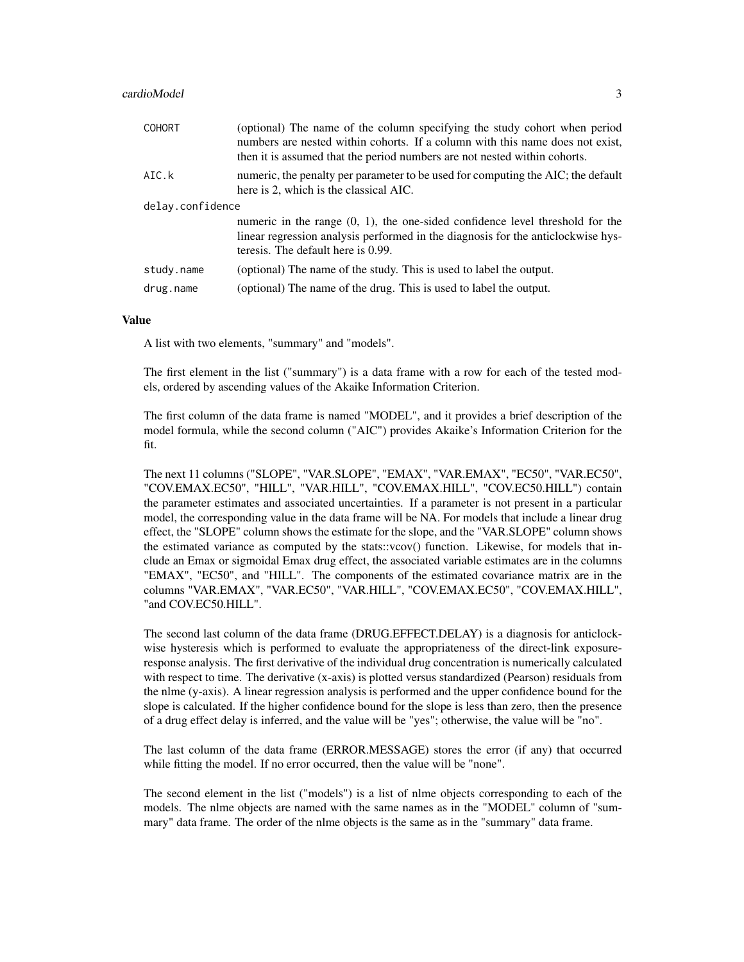#### cardioModel 3

| <b>COHORT</b>    | (optional) The name of the column specifying the study cohort when period<br>numbers are nested within cohorts. If a column with this name does not exist,<br>then it is assumed that the period numbers are not nested within cohorts. |
|------------------|-----------------------------------------------------------------------------------------------------------------------------------------------------------------------------------------------------------------------------------------|
| AIC.k            | numeric, the penalty per parameter to be used for computing the AIC; the default<br>here is 2, which is the classical AIC.                                                                                                              |
| delay.confidence |                                                                                                                                                                                                                                         |
|                  | numeric in the range $(0, 1)$ , the one-sided confidence level threshold for the<br>linear regression analysis performed in the diagnosis for the anticlockwise hys-<br>teresis. The default here is 0.99.                              |
| study.name       | (optional) The name of the study. This is used to label the output.                                                                                                                                                                     |
| drug.name        | (optional) The name of the drug. This is used to label the output.                                                                                                                                                                      |

#### Value

A list with two elements, "summary" and "models".

The first element in the list ("summary") is a data frame with a row for each of the tested models, ordered by ascending values of the Akaike Information Criterion.

The first column of the data frame is named "MODEL", and it provides a brief description of the model formula, while the second column ("AIC") provides Akaike's Information Criterion for the fit.

The next 11 columns ("SLOPE", "VAR.SLOPE", "EMAX", "VAR.EMAX", "EC50", "VAR.EC50", "COV.EMAX.EC50", "HILL", "VAR.HILL", "COV.EMAX.HILL", "COV.EC50.HILL") contain the parameter estimates and associated uncertainties. If a parameter is not present in a particular model, the corresponding value in the data frame will be NA. For models that include a linear drug effect, the "SLOPE" column shows the estimate for the slope, and the "VAR.SLOPE" column shows the estimated variance as computed by the stats::vcov() function. Likewise, for models that include an Emax or sigmoidal Emax drug effect, the associated variable estimates are in the columns "EMAX", "EC50", and "HILL". The components of the estimated covariance matrix are in the columns "VAR.EMAX", "VAR.EC50", "VAR.HILL", "COV.EMAX.EC50", "COV.EMAX.HILL", "and COV.EC50.HILL".

The second last column of the data frame (DRUG.EFFECT.DELAY) is a diagnosis for anticlockwise hysteresis which is performed to evaluate the appropriateness of the direct-link exposureresponse analysis. The first derivative of the individual drug concentration is numerically calculated with respect to time. The derivative (x-axis) is plotted versus standardized (Pearson) residuals from the nlme (y-axis). A linear regression analysis is performed and the upper confidence bound for the slope is calculated. If the higher confidence bound for the slope is less than zero, then the presence of a drug effect delay is inferred, and the value will be "yes"; otherwise, the value will be "no".

The last column of the data frame (ERROR.MESSAGE) stores the error (if any) that occurred while fitting the model. If no error occurred, then the value will be "none".

The second element in the list ("models") is a list of nlme objects corresponding to each of the models. The nlme objects are named with the same names as in the "MODEL" column of "summary" data frame. The order of the nlme objects is the same as in the "summary" data frame.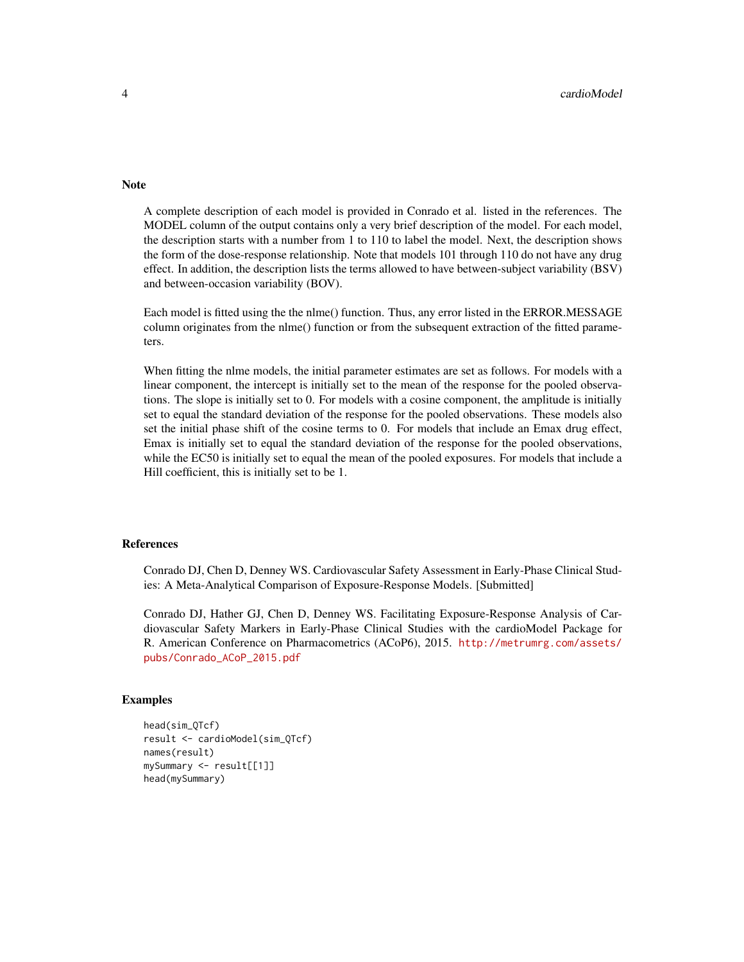#### Note

A complete description of each model is provided in Conrado et al. listed in the references. The MODEL column of the output contains only a very brief description of the model. For each model, the description starts with a number from 1 to 110 to label the model. Next, the description shows the form of the dose-response relationship. Note that models 101 through 110 do not have any drug effect. In addition, the description lists the terms allowed to have between-subject variability (BSV) and between-occasion variability (BOV).

Each model is fitted using the the nlme() function. Thus, any error listed in the ERROR.MESSAGE column originates from the nlme() function or from the subsequent extraction of the fitted parameters.

When fitting the nlme models, the initial parameter estimates are set as follows. For models with a linear component, the intercept is initially set to the mean of the response for the pooled observations. The slope is initially set to 0. For models with a cosine component, the amplitude is initially set to equal the standard deviation of the response for the pooled observations. These models also set the initial phase shift of the cosine terms to 0. For models that include an Emax drug effect, Emax is initially set to equal the standard deviation of the response for the pooled observations, while the EC50 is initially set to equal the mean of the pooled exposures. For models that include a Hill coefficient, this is initially set to be 1.

#### References

Conrado DJ, Chen D, Denney WS. Cardiovascular Safety Assessment in Early-Phase Clinical Studies: A Meta-Analytical Comparison of Exposure-Response Models. [Submitted]

Conrado DJ, Hather GJ, Chen D, Denney WS. Facilitating Exposure-Response Analysis of Cardiovascular Safety Markers in Early-Phase Clinical Studies with the cardioModel Package for R. American Conference on Pharmacometrics (ACoP6), 2015. [http://metrumrg.com/assets/](http://metrumrg.com/assets/pubs/Conrado_ACoP_2015.pdf) [pubs/Conrado\\_ACoP\\_2015.pdf](http://metrumrg.com/assets/pubs/Conrado_ACoP_2015.pdf)

#### Examples

```
head(sim_QTcf)
result <- cardioModel(sim_QTcf)
names(result)
mySummary <- result[[1]]
head(mySummary)
```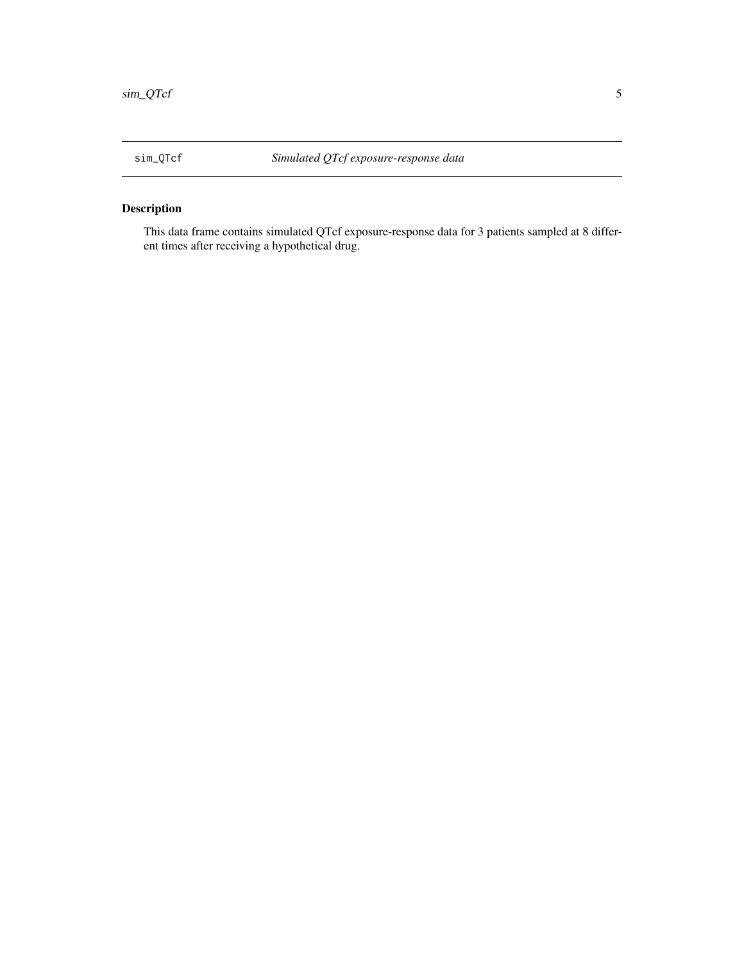# <span id="page-4-0"></span>Description

This data frame contains simulated QTcf exposure-response data for 3 patients sampled at 8 different times after receiving a hypothetical drug.